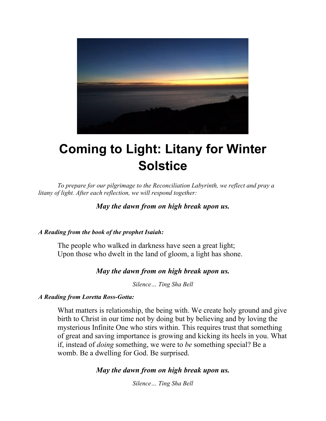

# **Coming to Light: Litany for Winter Solstice**

*To prepare for our pilgrimage to the Reconciliation Labyrinth, we reflect and pray a litany of light. After each reflection, we will respond together:*

*May the dawn from on high break upon us.*

#### *A Reading from the book of the prophet Isaiah:*

The people who walked in darkness have seen a great light; Upon those who dwelt in the land of gloom, a light has shone.

# *May the dawn from on high break upon us.*

*Silence… Ting Sha Bell*

#### *A Reading from Loretta Ross-Gotta:*

What matters is relationship, the being with. We create holy ground and give birth to Christ in our time not by doing but by believing and by loving the mysterious Infinite One who stirs within. This requires trust that something of great and saving importance is growing and kicking its heels in you. What if, instead of *doing* something, we were to *be* something special? Be a womb. Be a dwelling for God. Be surprised.

# *May the dawn from on high break upon us.*

*Silence… Ting Sha Bell*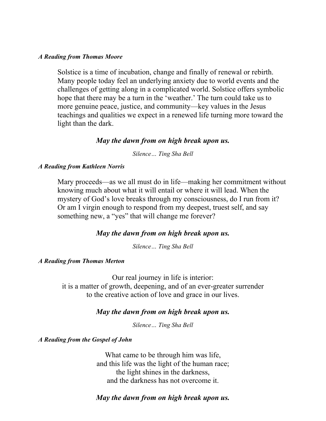#### *A Reading from Thomas Moore*

Solstice is a time of incubation, change and finally of renewal or rebirth. Many people today feel an underlying anxiety due to world events and the challenges of getting along in a complicated world. Solstice offers symbolic hope that there may be a turn in the 'weather.' The turn could take us to more genuine peace, justice, and community—key values in the Jesus teachings and qualities we expect in a renewed life turning more toward the light than the dark.

#### *May the dawn from on high break upon us.*

*Silence… Ting Sha Bell*

#### *A Reading from Kathleen Norris*

Mary proceeds—as we all must do in life—making her commitment without knowing much about what it will entail or where it will lead. When the mystery of God's love breaks through my consciousness, do I run from it? Or am I virgin enough to respond from my deepest, truest self, and say something new, a "yes" that will change me forever?

#### *May the dawn from on high break upon us.*

*Silence… Ting Sha Bell*

#### *A Reading from Thomas Merton*

Our real journey in life is interior: it is a matter of growth, deepening, and of an ever-greater surrender to the creative action of love and grace in our lives.

#### *May the dawn from on high break upon us.*

*Silence… Ting Sha Bell*

*A Reading from the Gospel of John*

What came to be through him was life, and this life was the light of the human race; the light shines in the darkness, and the darkness has not overcome it.

# *May the dawn from on high break upon us.*